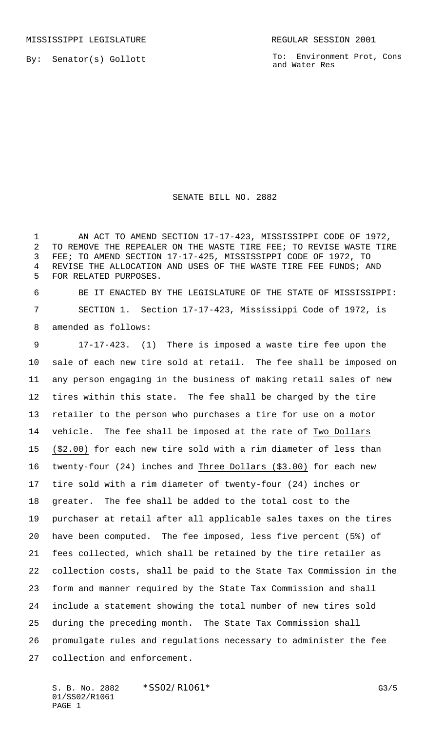MISSISSIPPI LEGISLATURE **REGULAR SESSION 2001** 

By: Senator(s) Gollott

To: Environment Prot, Cons and Water Res

## SENATE BILL NO. 2882

1 AN ACT TO AMEND SECTION 17-17-423, MISSISSIPPI CODE OF 1972, TO REMOVE THE REPEALER ON THE WASTE TIRE FEE; TO REVISE WASTE TIRE FEE; TO AMEND SECTION 17-17-425, MISSISSIPPI CODE OF 1972, TO REVISE THE ALLOCATION AND USES OF THE WASTE TIRE FEE FUNDS; AND FOR RELATED PURPOSES.

 BE IT ENACTED BY THE LEGISLATURE OF THE STATE OF MISSISSIPPI: SECTION 1. Section 17-17-423, Mississippi Code of 1972, is amended as follows:

 17-17-423. (1) There is imposed a waste tire fee upon the sale of each new tire sold at retail. The fee shall be imposed on any person engaging in the business of making retail sales of new tires within this state. The fee shall be charged by the tire retailer to the person who purchases a tire for use on a motor vehicle. The fee shall be imposed at the rate of Two Dollars (\$2.00) for each new tire sold with a rim diameter of less than twenty-four (24) inches and Three Dollars (\$3.00) for each new tire sold with a rim diameter of twenty-four (24) inches or greater. The fee shall be added to the total cost to the purchaser at retail after all applicable sales taxes on the tires have been computed. The fee imposed, less five percent (5%) of fees collected, which shall be retained by the tire retailer as collection costs, shall be paid to the State Tax Commission in the form and manner required by the State Tax Commission and shall include a statement showing the total number of new tires sold during the preceding month. The State Tax Commission shall promulgate rules and regulations necessary to administer the fee collection and enforcement.

S. B. No. 2882 \*SS02/R1061\* G3/5 01/SS02/R1061 PAGE 1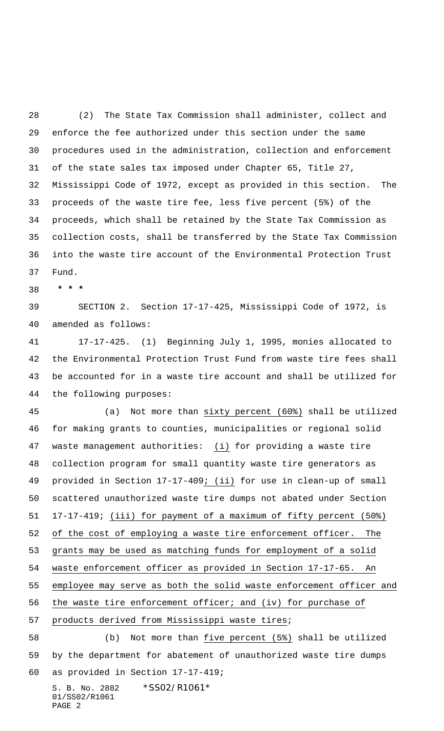(2) The State Tax Commission shall administer, collect and enforce the fee authorized under this section under the same procedures used in the administration, collection and enforcement of the state sales tax imposed under Chapter 65, Title 27, Mississippi Code of 1972, except as provided in this section. The proceeds of the waste tire fee, less five percent (5%) of the proceeds, which shall be retained by the State Tax Commission as collection costs, shall be transferred by the State Tax Commission into the waste tire account of the Environmental Protection Trust Fund.

 **\* \* \***

 SECTION 2. Section 17-17-425, Mississippi Code of 1972, is amended as follows:

 17-17-425. (1) Beginning July 1, 1995, monies allocated to the Environmental Protection Trust Fund from waste tire fees shall be accounted for in a waste tire account and shall be utilized for the following purposes:

 (a) Not more than sixty percent (60%) shall be utilized for making grants to counties, municipalities or regional solid waste management authorities: (i) for providing a waste tire collection program for small quantity waste tire generators as provided in Section 17-17-409; (ii) for use in clean-up of small scattered unauthorized waste tire dumps not abated under Section 17-17-419; (iii) for payment of a maximum of fifty percent (50%) of the cost of employing a waste tire enforcement officer. The grants may be used as matching funds for employment of a solid waste enforcement officer as provided in Section 17-17-65. An employee may serve as both the solid waste enforcement officer and the waste tire enforcement officer; and (iv) for purchase of products derived from Mississippi waste tires; (b) Not more than five percent (5%) shall be utilized

 by the department for abatement of unauthorized waste tire dumps as provided in Section 17-17-419;

S. B. No. 2882 \*SS02/R1061\* 01/SS02/R1061 PAGE 2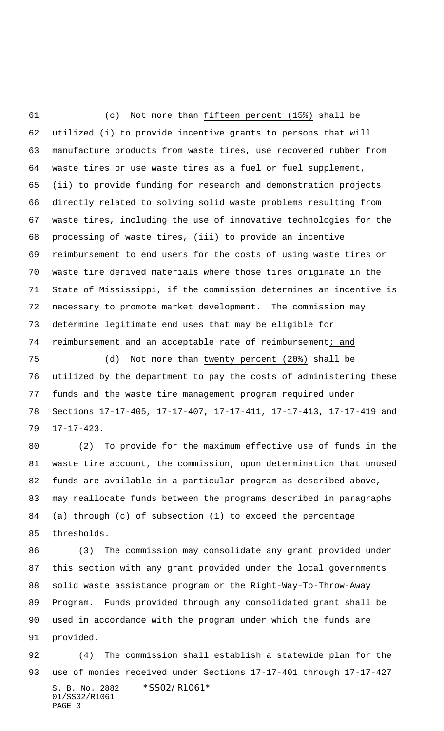(c) Not more than fifteen percent (15%) shall be utilized (i) to provide incentive grants to persons that will manufacture products from waste tires, use recovered rubber from waste tires or use waste tires as a fuel or fuel supplement, (ii) to provide funding for research and demonstration projects directly related to solving solid waste problems resulting from waste tires, including the use of innovative technologies for the processing of waste tires, (iii) to provide an incentive reimbursement to end users for the costs of using waste tires or waste tire derived materials where those tires originate in the State of Mississippi, if the commission determines an incentive is necessary to promote market development. The commission may determine legitimate end uses that may be eligible for 74 reimbursement and an acceptable rate of reimbursement; and

 (d) Not more than twenty percent (20%) shall be utilized by the department to pay the costs of administering these funds and the waste tire management program required under Sections 17-17-405, 17-17-407, 17-17-411, 17-17-413, 17-17-419 and 17-17-423.

 (2) To provide for the maximum effective use of funds in the waste tire account, the commission, upon determination that unused funds are available in a particular program as described above, may reallocate funds between the programs described in paragraphs (a) through (c) of subsection (1) to exceed the percentage thresholds.

 (3) The commission may consolidate any grant provided under this section with any grant provided under the local governments solid waste assistance program or the Right-Way-To-Throw-Away Program. Funds provided through any consolidated grant shall be used in accordance with the program under which the funds are provided.

S. B. No. 2882 \*SS02/R1061\* 01/SS02/R1061 PAGE 3 (4) The commission shall establish a statewide plan for the use of monies received under Sections 17-17-401 through 17-17-427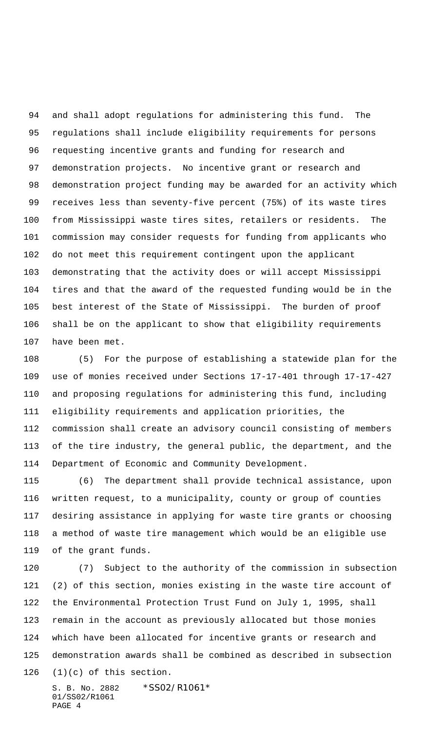and shall adopt regulations for administering this fund. The regulations shall include eligibility requirements for persons requesting incentive grants and funding for research and demonstration projects. No incentive grant or research and demonstration project funding may be awarded for an activity which receives less than seventy-five percent (75%) of its waste tires from Mississippi waste tires sites, retailers or residents. The commission may consider requests for funding from applicants who do not meet this requirement contingent upon the applicant demonstrating that the activity does or will accept Mississippi tires and that the award of the requested funding would be in the best interest of the State of Mississippi. The burden of proof shall be on the applicant to show that eligibility requirements have been met.

 (5) For the purpose of establishing a statewide plan for the use of monies received under Sections 17-17-401 through 17-17-427 and proposing regulations for administering this fund, including eligibility requirements and application priorities, the commission shall create an advisory council consisting of members of the tire industry, the general public, the department, and the Department of Economic and Community Development.

 (6) The department shall provide technical assistance, upon written request, to a municipality, county or group of counties desiring assistance in applying for waste tire grants or choosing a method of waste tire management which would be an eligible use of the grant funds.

 (7) Subject to the authority of the commission in subsection (2) of this section, monies existing in the waste tire account of the Environmental Protection Trust Fund on July 1, 1995, shall remain in the account as previously allocated but those monies which have been allocated for incentive grants or research and demonstration awards shall be combined as described in subsection (1)(c) of this section.

S. B. No. 2882 \*SS02/R1061\* 01/SS02/R1061 PAGE 4